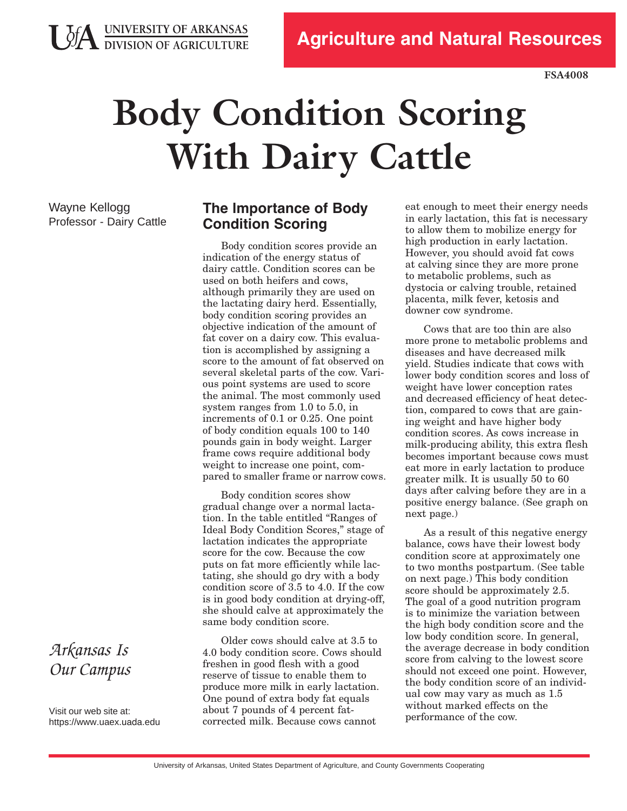

**FSA4008**

# **Body Condition Scoring With Dairy Cattle**

Wayne Kellogg Professor - Dairy Cattle

**JA UNIVERSITY OF ARKANSAS**<br>DIVISION OF AGRICULTURE

# **The lmportance of Body Condition Scoring**

Body condition scores provide an indication of the energy status of dairy cattle. Condition scores can be used on both heifers and cows, although primarily they are used on the lactating dairy herd. Essentially, body condition scoring provides an objective indication of the amount of fat cover on a dairy cow. This evaluation is accomplished by assigning a score to the amount of fat observed on several skeletal parts of the cow. Various point systems are used to score the animal. The most commonly used system ranges from 1.0 to 5.0, in increments of 0.1 or 0.25. One point of body condition equals 100 to 140 pounds gain in body weight. Larger frame cows require additional body weight to increase one point, compared to smaller frame or narrow cows.

Body condition scores show gradual change over a normal lactation. In the table entitled "Ranges of Ideal Body Condition Scores," stage of lactation indicates the appropriate score for the cow. Because the cow puts on fat more efficiently while lactating, she should go dry with a body condition score of 3.5 to 4.0. If the cow is in good body condition at drying-off, she should calve at approximately the same body condition score.

Older cows should calve at 3.5 to 4.0 body condition score. Cows should freshen in good flesh with a good reserve of tissue to enable them to produce more milk in early lactation. One pound of extra body fat equals about 7 pounds of 4 percent fatcorrected milk. Because cows cannot

eat enough to meet their energy needs in early lactation, this fat is necessary to allow them to mobilize energy for high production in early lactation. However, you should avoid fat cows at calving since they are more prone to metabolic problems, such as dystocia or calving trouble, retained placenta, milk fever, ketosis and downer cow syndrome.

Cows that are too thin are also more prone to metabolic problems and diseases and have decreased milk yield. Studies indicate that cows with lower body condition scores and loss of weight have lower conception rates and decreased efficiency of heat detection, compared to cows that are gaining weight and have higher body condition scores. As cows increase in milk-producing ability, this extra flesh becomes important because cows must eat more in early lactation to produce greater milk. It is usually 50 to 60 days after calving before they are in a positive energy balance. (See graph on next page.)

As a result of this negative energy balance, cows have their lowest body condition score at approximately one to two months postpartum. (See table on next page.) This body condition score should be approximately 2.5. The goal of a good nutrition program is to minimize the variation between the high body condition score and the low body condition score. In general, the average decrease in body condition score from calving to the lowest score should not exceed one point. However, the body condition score of an individual cow may vary as much as 1.5 without marked effects on the performance of the cow.

# *Arkansas Is Our Campus*

Visit our web site at: https[://www.uaex](https://www.uaex.uada.edu).uada.edu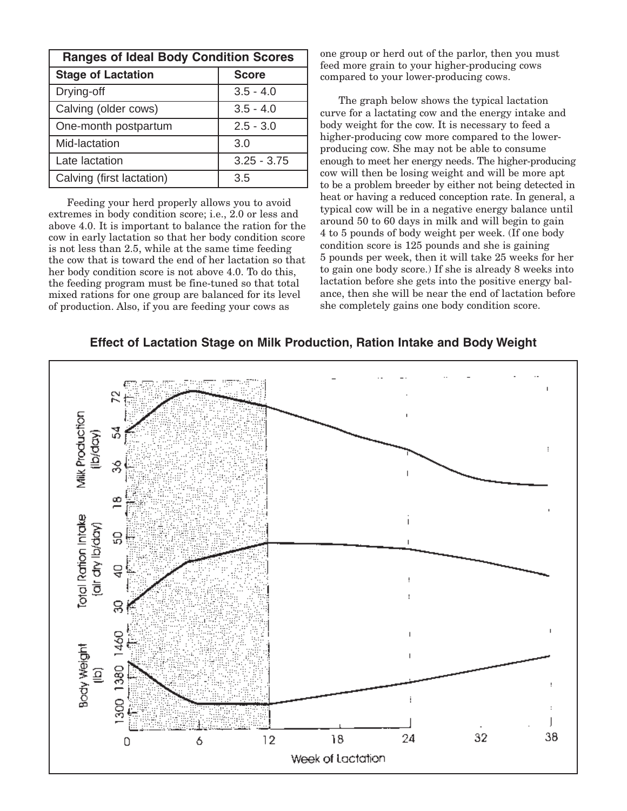| <b>Ranges of Ideal Body Condition Scores</b> |               |
|----------------------------------------------|---------------|
| <b>Stage of Lactation</b>                    | <b>Score</b>  |
| Drying-off                                   | $3.5 - 4.0$   |
| Calving (older cows)                         | $3.5 - 4.0$   |
| One-month postpartum                         | $2.5 - 3.0$   |
| Mid-lactation                                | 3.0           |
| Late lactation                               | $3.25 - 3.75$ |
| Calving (first lactation)                    | 3.5           |

Feeding your herd properly allows you to avoid extremes in body condition score; i.e., 2.0 or less and above 4.0. It is important to balance the ration for the cow in early lactation so that her body condition score is not less than 2.5, while at the same time feeding the cow that is toward the end of her lactation so that her body condition score is not above 4.0. To do this, the feeding program must be fine-tuned so that total mixed rations for one group are balanced for its level of production. Also, if you are feeding your cows as

one group or herd out of the parlor, then you must feed more grain to your higher-producing cows compared to your lower-producing cows.

The graph below shows the typical lactation curve for a lactating cow and the energy intake and body weight for the cow. It is necessary to feed a higher-producing cow more compared to the lowerproducing cow. She may not be able to consume enough to meet her energy needs. The higher-producing cow will then be losing weight and will be more apt to be a problem breeder by either not being detected in heat or having a reduced conception rate. In general, a typical cow will be in a negative energy balance until around 50 to 60 days in milk and will begin to gain 4 to 5 pounds of body weight per week. (If one body condition score is 125 pounds and she is gaining 5 pounds per week, then it will take 25 weeks for her to gain one body score.) If she is already 8 weeks into lactation before she gets into the positive energy balance, then she will be near the end of lactation before she completely gains one body condition score.

#### **Effect of Lactation Stage on Milk Production, Ration Intake and Body Weight**

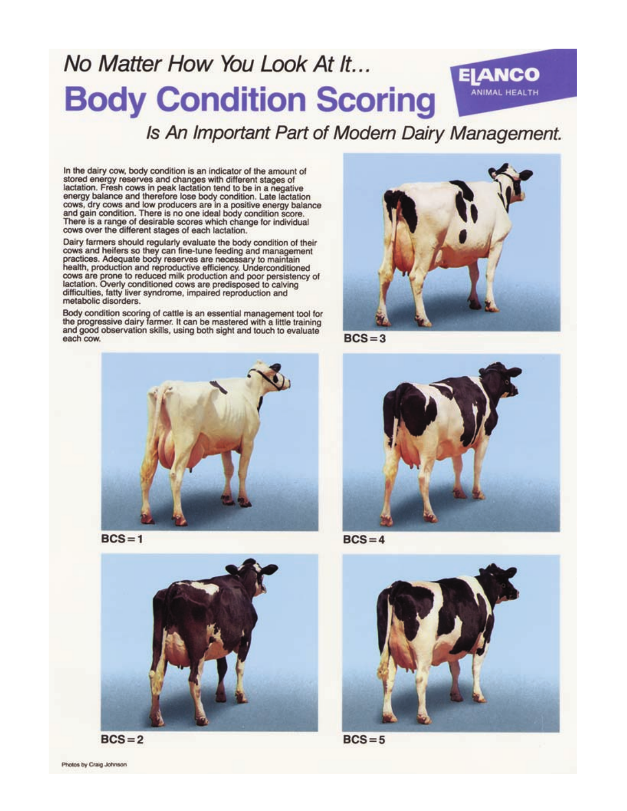# No Matter How You Look At It... **Body Condition Scoring**

# Is An Important Part of Modern Dairy Management.

In the dairy cow, body condition is an indicator of the amount of stored energy reserves and changes with different stages of<br>lactation. Fresh cows in peak lactation tend to be in a negative<br>energy balance and therefore lose body condition. Late lactation<br>cows, dry cows and low producers and gain condition. There is no one ideal body condition score. There is a range of desirable scores which change for individual cows over the different stages of each lactation.

Dairy farmers should regularly evaluate the body condition of their cows and heifers so they can fine-tune feeding and management<br>practices. Adequate body reserves are necessary to maintain health, production and reproductive efficiency. Underconditioned cows are prone to reduced milk production and poor persistency of lactation. Overly conditioned cows are predisposed to calving difficulties, fatty liver syndrome, impaired reproduction and metabolic disorders.

Body condition scoring of cattle is an essential management tool for<br>the progressive dairy farmer. It can be mastered with a little training and good observation skills, using both sight and touch to evaluate each cow.



 $BCS = 1$ 





Photos by Craig Johnson



**EIANCO** 

**ANIMAL HEALTH** 

 $BCS = 3$ 



 $BCS = 4$ 



 $BCS = 5$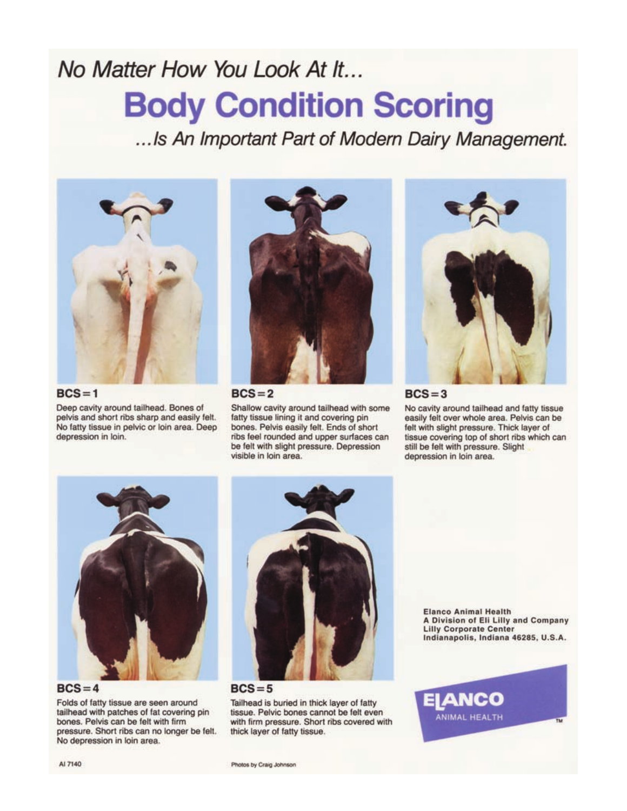# No Matter How You Look At It... **Body Condition Scoring**

...Is An Important Part of Modern Dairy Management.



 $BCS = 1$ Deep cavity around tailhead. Bones of pelvis and short ribs sharp and easily felt. No fatty tissue in pelvic or loin area. Deep

depression in loin.



#### $BCS = 2$

Shallow cavity around tailhead with some fatty tissue lining it and covering pin bones. Pelvis easily felt. Ends of short ribs feel rounded and upper surfaces can be felt with slight pressure. Depression visible in loin area.



#### $BCS = 3$

No cavity around tailhead and fatty tissue easily felt over whole area. Pelvis can be felt with slight pressure. Thick layer of tissue covering top of short ribs which can still be felt with pressure. Slight depression in loin area.



 $BCS = 4$ 

Folds of fatty tissue are seen around tailhead with patches of fat covering pin bones. Pelvis can be felt with firm pressure. Short ribs can no longer be felt. No depression in loin area.



 $BCS = 5$ 

Tailhead is buried in thick layer of fatty tissue. Pelvic bones cannot be felt even with firm pressure. Short ribs covered with thick layer of fatty tissue.

**Elanco Animal Health** A Division of Eli Lilly and Company **Lilly Corporate Center** Indianapolis, Indiana 46285, U.S.A.

IANCO

ANIMAL HEALTH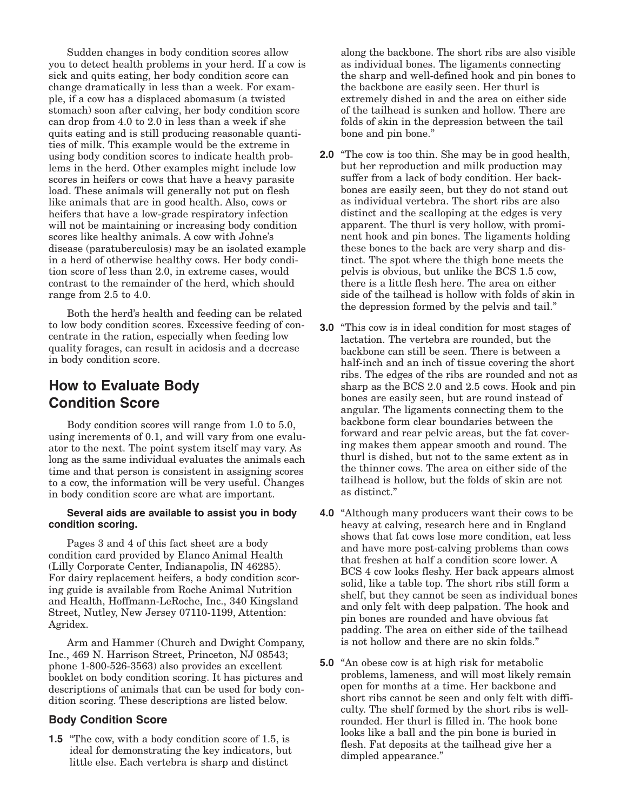Sudden changes in body condition scores allow you to detect health problems in your herd. If a cow is sick and quits eating, her body condition score can change dramatically in less than a week. For example, if a cow has a displaced abomasum (a twisted stomach) soon after calving, her body condition score can drop from 4.0 to 2.0 in less than a week if she quits eating and is still producing reasonable quantities of milk. This example would be the extreme in using body condition scores to indicate health problems in the herd. Other examples might include low scores in heifers or cows that have a heavy parasite load. These animals will generally not put on flesh like animals that are in good health. Also, cows or heifers that have a low-grade respiratory infection will not be maintaining or increasing body condition scores like healthy animals. A cow with Johne's disease (paratuberculosis) may be an isolated example in a herd of otherwise healthy cows. Her body condition score of less than 2.0, in extreme cases, would contrast to the remainder of the herd, which should range from 2.5 to 4.0.

Both the herd's health and feeding can be related to low body condition scores. Excessive feeding of concentrate in the ration, especially when feeding low quality forages, can result in acidosis and a decrease in body condition score.

## **How to Evaluate Body Condition Score**

Body condition scores will range from 1.0 to 5.0, using increments of 0.1, and will vary from one evaluator to the next. The point system itself may vary. As long as the same individual evaluates the animals each time and that person is consistent in assigning scores to a cow, the information will be very useful. Changes in body condition score are what are important.

#### **Several aids are available to assist you in body condition scoring.**

Pages 3 and 4 of this fact sheet are a body condition card provided by Elanco Animal Health (Lilly Corporate Center, Indianapolis, IN 46285). For dairy replacement heifers, a body condition scoring guide is available from Roche Animal Nutrition and Health, Hoffmann-LeRoche, Inc., 340 Kingsland Street, Nutley, New Jersey 07110-1199, Attention: Agridex.

Arm and Hammer (Church and Dwight Company, Inc., 469 N. Harrison Street, Princeton, NJ 08543; phone  $1-800-526-3563$ ) also provides an excellent booklet on body condition scoring. It has pictures and descriptions of animals that can be used for body condition scoring. These descriptions are listed below.

#### **Body Condition Score**

**1.5** "The cow, with a body condition score of 1.5, is ideal for demonstrating the key indicators, but little else. Each vertebra is sharp and distinct

along the backbone. The short ribs are also visible as individual bones. The ligaments connecting the sharp and well-defined hook and pin bones to the backbone are easily seen. Her thurl is extremely dished in and the area on either side of the tailhead is sunken and hollow. There are folds of skin in the depression between the tail bone and pin bone."

- **2.0** "The cow is too thin. She may be in good health, but her reproduction and milk production may suffer from a lack of body condition. Her backbones are easily seen, but they do not stand out as individual vertebra. The short ribs are also distinct and the scalloping at the edges is very apparent. The thurl is very hollow, with prominent hook and pin bones. The ligaments holding these bones to the back are very sharp and distinct. The spot where the thigh bone meets the pelvis is obvious, but unlike the BCS 1.5 cow, there is a little flesh here. The area on either side of the tailhead is hollow with folds of skin in the depression formed by the pelvis and tail."
- **3.0** "This cow is in ideal condition for most stages of lactation. The vertebra are rounded, but the backbone can still be seen. There is between a half-inch and an inch of tissue covering the short ribs. The edges of the ribs are rounded and not as sharp as the BCS 2.0 and 2.5 cows. Hook and pin bones are easily seen, but are round instead of angular. The ligaments connecting them to the backbone form clear boundaries between the forward and rear pelvic areas, but the fat covering makes them appear smooth and round. The thurl is dished, but not to the same extent as in the thinner cows. The area on either side of the tailhead is hollow, but the folds of skin are not as distinct."
- **4.0** "Although many producers want their cows to be heavy at calving, research here and in England shows that fat cows lose more condition, eat less and have more post-calving problems than cows that freshen at half a condition score lower. A BCS 4 cow looks fleshy. Her back appears almost solid, like a table top. The short ribs still form a shelf, but they cannot be seen as individual bones and only felt with deep palpation. The hook and pin bones are rounded and have obvious fat padding. The area on either side of the tailhead is not hollow and there are no skin folds."
- **5.0** "An obese cow is at high risk for metabolic problems, lameness, and will most likely remain open for months at a time. Her backbone and short ribs cannot be seen and only felt with difficulty. The shelf formed by the short ribs is wellrounded. Her thurl is filled in. The hook bone looks like a ball and the pin bone is buried in flesh. Fat deposits at the tailhead give her a dimpled appearance."